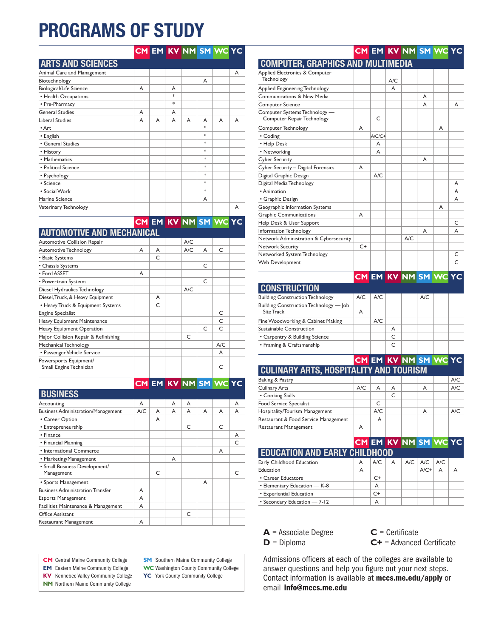# **PROGRAMS OF STUDY**

| Animal Care and Management |   |   |   |   |                                   |   | A |
|----------------------------|---|---|---|---|-----------------------------------|---|---|
| Biotechnology              |   |   |   |   | A                                 |   |   |
| Biological/Life Science    | A |   | A |   |                                   |   |   |
| • Health Occupations       |   |   | 冰 |   |                                   |   |   |
| • Pre-Pharmacy             |   |   | 冰 |   |                                   |   |   |
| <b>General Studies</b>     | A |   | A |   |                                   |   |   |
| <b>Liberal Studies</b>     | A | A | A | A | A                                 | A | A |
| • Art                      |   |   |   |   | $\frac{d\mathbf{x}}{d\mathbf{x}}$ |   |   |
| • English                  |   |   |   |   | $\frac{d\mathbf{x}}{d\mathbf{x}}$ |   |   |
| • General Studies          |   |   |   |   | $\frac{d\mathbf{x}}{d\mathbf{x}}$ |   |   |
| • History                  |   |   |   |   | $\frac{d\mathbf{x}}{d\mathbf{x}}$ |   |   |
| • Mathematics              |   |   |   |   | $\frac{d\mathbf{x}}{d\mathbf{x}}$ |   |   |
| • Political Science        |   |   |   |   | $\frac{d\mathbf{x}}{d\mathbf{x}}$ |   |   |
| • Psychology               |   |   |   |   | $\frac{d\mathbf{x}}{d\mathbf{x}}$ |   |   |
| • Science                  |   |   |   |   | $\frac{d\mathbf{x}}{d\mathbf{x}}$ |   |   |
| • Social Work              |   |   |   |   | $\frac{d\mathbf{x}}{d\mathbf{x}}$ |   |   |
| Marine Science             |   |   |   |   | A                                 |   |   |
| Veterinary Technology      |   |   |   |   |                                   |   | A |

**CM EM KV NM SM WC YC**

**CM EM KV NM SM WC YC**

| <b>AUTOMOTIVE AND MECHANICAL</b> |   |   |          |   |  |
|----------------------------------|---|---|----------|---|--|
| Automotive Collision Repair      |   |   | A/C      |   |  |
| Automotive Technology            | A | A | A/C      | A |  |
| • Basic Systems                  |   | C |          |   |  |
| • Chassis Systems                |   |   |          | C |  |
| • Ford ASSET                     | A |   |          |   |  |
| · Powertrain Systems             |   |   |          |   |  |
| _ _ _ _ _ _ _ _ _                |   |   | $\cdots$ |   |  |

| Diesel Hydraulics Technology                      |   | A/C |   |     |  |
|---------------------------------------------------|---|-----|---|-----|--|
| Diesel, Truck, & Heavy Equipment                  | A |     |   |     |  |
| • Heavy Truck & Equipment Systems                 | C |     |   |     |  |
| <b>Engine Specialist</b>                          |   |     |   | C   |  |
| Heavy Equipment Maintenance                       |   |     |   | C   |  |
| Heavy Equipment Operation                         |   |     | C | C   |  |
| Major Collision Repair & Refinishing              |   | C   |   |     |  |
| Mechanical Technology                             |   |     |   | A/C |  |
| • Passenger Vehicle Service                       |   |     |   | A   |  |
| Powersports Equipment/<br>Small Engine Technician |   |     |   |     |  |

|                                             |     |           |   |   |   | UM EM NY NM SM YVU | 1 C       |
|---------------------------------------------|-----|-----------|---|---|---|--------------------|-----------|
| <b>BUSINESS</b>                             |     |           |   |   |   |                    |           |
| Accounting                                  | A   |           | A | A |   |                    | A         |
| <b>Business Administration/Management</b>   | A/C | A         | A | A | A | A                  | A         |
| • Career Option                             |     | A         |   |   |   |                    |           |
| • Entrepreneurship                          |     |           |   | C |   | C                  |           |
| • Finance                                   |     |           |   |   |   |                    | A         |
| • Financial Planning                        |     |           |   |   |   |                    | $\subset$ |
| • International Commerce                    |     |           |   |   |   | A                  |           |
| • Marketing/Management                      |     |           | A |   |   |                    |           |
| · Small Business Development/<br>Management |     | $\subset$ |   |   |   |                    |           |
| • Sports Management                         |     |           |   |   | A |                    |           |
| <b>Business Administration Transfer</b>     | A   |           |   |   |   |                    |           |
| <b>Esports Management</b>                   | A   |           |   |   |   |                    |           |
| Facilities Maintenance & Management         | A   |           |   |   |   |                    |           |
| Office Assistant                            |     |           |   | C |   |                    |           |
| Restaurant Management                       | A   |           |   |   |   |                    |           |

**CM** Central Maine Community College

**EM** Eastern Maine Community College

**KV** Kennebec Valley Community College **NM** Northern Maine Community College

**SM** Southern Maine Community College

**WC** Washington County Community College

**YC** York County Community College

#### **COMPUTER, GRAPHICS AND MULTIMEDIA** Applied Electronics & Computer Technology A/C Applied Engineering Technology **A** Communications & New Media A Computer Science A A Computer Systems Technology — Computer Repair Technology C Computer Technology A A • Coding A/C/C+ • Help Desk A • Networking A Cyber Security **A**  $Cyber Security - Digital Forensics$  A Digital Graphic Design A/C Digital Media Technology **Accord Provides Accord Providence** Accord Providence Accord Accord Accord Accord Accord Accord Accord Accord Accord Accord Accord Accord Accord Accord Accord Accord Accord Accord Accord Accord Acc • Animation A • Graphic Design And Albert (Capital Contract of Albert And Albert Albert And Albert And Albert And Albert And A Geographic Information Systems **A** Graphic Communications A Help Desk & User Support C Information Technology<br>
Network Administration & Cybersecurity<br>
A/C<br>
A/C Network Administration & Cybersecurity Network Security **C+** Networked System Technology<br>
Web Development<br>
C Web Development

|                                                      |     |     |   |     | <b>CM EM KV NM SM WC YC</b> |  |
|------------------------------------------------------|-----|-----|---|-----|-----------------------------|--|
| <b>CONSTRUCTION</b>                                  |     |     |   |     |                             |  |
| <b>Building Construction Technology</b>              | A/C | A/C |   | A/C |                             |  |
| Building Construction Technology - Job<br>Site Track | A   |     |   |     |                             |  |
| Fine Woodworking & Cabinet Making                    |     | A/C |   |     |                             |  |
| Sustainable Construction                             |     |     | A |     |                             |  |
| • Carpentry & Building Science                       |     |     | C |     |                             |  |
| • Framing & Craftsmanship                            |     |     |   |     |                             |  |

#### **CM EM KV NM SM WC YC CULINARY ARTS, HOSPITALITY AND TOURISM**

| Baking & Pastry                      |     |     |   |   | A/C |
|--------------------------------------|-----|-----|---|---|-----|
| <b>Culinary Arts</b>                 | A/C | А   | A | A | A/C |
| • Cooking Skills                     |     |     |   |   |     |
| Food Service Specialist              |     |     |   |   |     |
| Hospitality/Tourism Management       |     | A/C |   | A | A/C |
| Restaurant & Food Service Management |     | А   |   |   |     |
| <b>Restaurant Management</b>         | A   |     |   |   |     |

|                                      |   |           |   | CM EM KV NM SM WC YC |                       |   |   |
|--------------------------------------|---|-----------|---|----------------------|-----------------------|---|---|
| <b>EDUCATION AND EARLY CHILDHOOD</b> |   |           |   |                      |                       |   |   |
| Early Childhood Education            | A | A/C       | A |                      | $A/C$   $A/C$   $A/C$ |   |   |
| Education                            | A |           |   |                      | $A/C+$                | A | A |
| • Career Educators                   |   | $C_{\pm}$ |   |                      |                       |   |   |
| • Elementary Education - K-8         |   | A         |   |                      |                       |   |   |
| • Experiential Education             |   | $C_{\pm}$ |   |                      |                       |   |   |
| • Secondary Education - 7-12         |   | A         |   |                      |                       |   |   |

### **A** = Associate Degree **C** = Certificate

**D** = Diploma **C+** = Advanced Certificate

Admissions officers at each of the colleges are available to answer questions and help you figure out your next steps. Contact information is available at mccs.me.edu/apply or email info@mccs.me.edu

## CM EM KV NM SM WC YC CHE CM CM EM KV NM SM WC YC